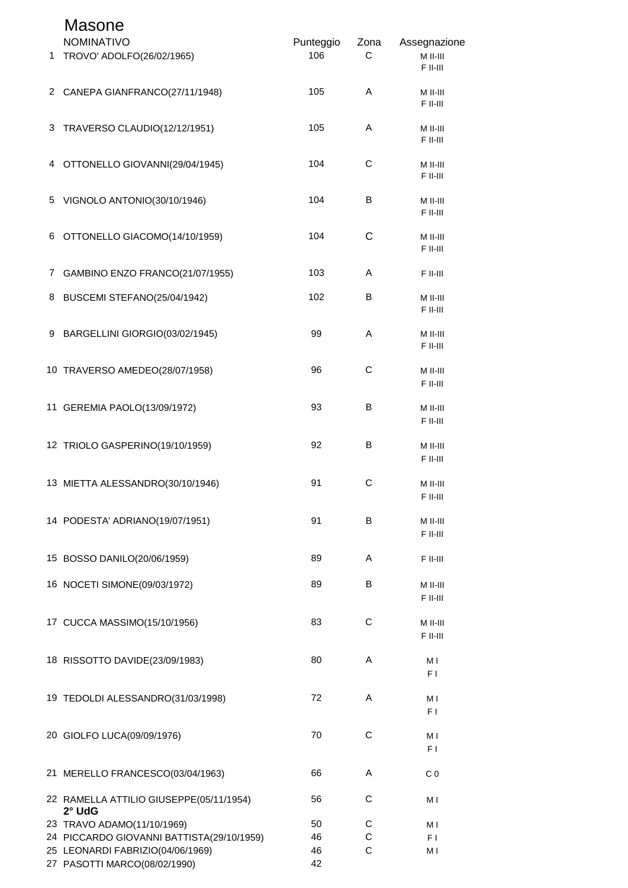|             | <b>Masone</b><br><b>NOMINATIVO</b>                | Punteggio | Zona        | Assegnazione             |
|-------------|---------------------------------------------------|-----------|-------------|--------------------------|
| 1           | TROVO' ADOLFO(26/02/1965)                         | 106       | С           | M II-III<br>F II-III     |
|             | 2 CANEPA GIANFRANCO(27/11/1948)                   | 105       | A           | M II-III<br>F II-III     |
| 3           | TRAVERSO CLAUDIO(12/12/1951)                      | 105       | Α           | M II-III<br>F II-III     |
| 4           | OTTONELLO GIOVANNI(29/04/1945)                    | 104       | $\mathsf C$ | $M$ II-III<br>F II-III   |
|             | 5 VIGNOLO ANTONIO(30/10/1946)                     | 104       | В           | M II-III<br>F II-III     |
| 6           | OTTONELLO GIACOMO(14/10/1959)                     | 104       | C           | M II-III<br>F II-III     |
| $7^{\circ}$ | GAMBINO ENZO FRANCO(21/07/1955)                   | 103       | A           | $F$ II-III               |
| 8           | BUSCEMI STEFANO(25/04/1942)                       | 102       | В           | M II-III<br>$F$ II-III   |
|             | 9 BARGELLINI GIORGIO(03/02/1945)                  | 99        | A           | M II-III<br>F II-III     |
|             | 10 TRAVERSO AMEDEO(28/07/1958)                    | 96        | $\mathsf C$ | M II-III<br>F II-III     |
|             | 11 GEREMIA PAOLO(13/09/1972)                      | 93        | B           | M II-III<br>F II-III     |
|             | 12 TRIOLO GASPERINO(19/10/1959)                   | 92        | В           | M II-III<br>F II-III     |
|             | 13 MIETTA ALESSANDRO(30/10/1946)                  | 91        | C           | M II-III<br>$F$ II-III   |
|             | 14 PODESTA' ADRIANO(19/07/1951)                   | 91        | B           | M II-III<br>$F$ II-III   |
|             | 15 BOSSO DANILO(20/06/1959)                       | 89        | A           | $F$ II-III               |
|             | 16 NOCETI SIMONE(09/03/1972)                      | 89        | B           | $M$ II-III<br>$F$ II-III |
|             | 17 CUCCA MASSIMO(15/10/1956)                      | 83        | C           | $M$ II-III<br>$F$ II-III |
|             | 18 RISSOTTO DAVIDE(23/09/1983)                    | 80        | A           | M I<br>F <sub>1</sub>    |
|             | 19 TEDOLDI ALESSANDRO(31/03/1998)                 | 72        | A           | M I<br>F <sub>1</sub>    |
|             | 20 GIOLFO LUCA(09/09/1976)                        | 70        | С           | M I<br>F <sub>1</sub>    |
|             | 21 MERELLO FRANCESCO(03/04/1963)                  | 66        | A           | C <sub>0</sub>           |
|             | 22 RAMELLA ATTILIO GIUSEPPE(05/11/1954)<br>2° UdG | 56        | C           | M I                      |
|             | 23 TRAVO ADAMO(11/10/1969)                        | 50        | С           | M I                      |
|             | 24 PICCARDO GIOVANNI BATTISTA(29/10/1959)         | 46        | C           | F I                      |
|             | 25 LEONARDI FABRIZIO(04/06/1969)                  | 46        | C           | M I                      |
|             | 27 PASOTTI MARCO(08/02/1990)                      | 42        |             |                          |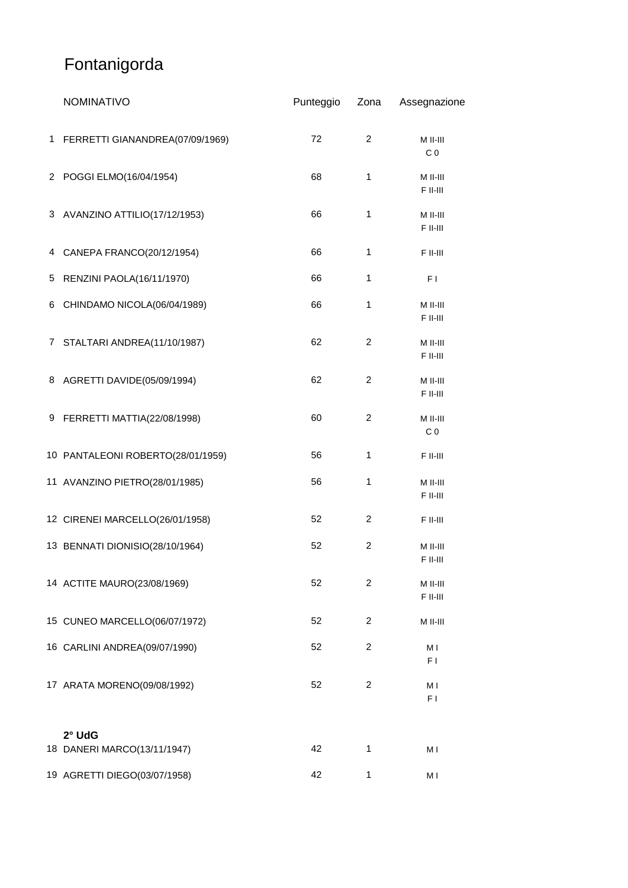# Fontanigorda

| <b>NOMINATIVO</b>                     | Punteggio | Zona           | Assegnazione               |
|---------------------------------------|-----------|----------------|----------------------------|
| 1 FERRETTI GIANANDREA(07/09/1969)     | 72        | $\overline{2}$ | M II-III<br>C <sub>0</sub> |
| 2 POGGI ELMO(16/04/1954)              | 68        | 1              | M II-III<br>F II-III       |
| 3 AVANZINO ATTILIO(17/12/1953)        | 66        | 1              | M II-III<br>F II-III       |
| 4 CANEPA FRANCO(20/12/1954)           | 66        | $\mathbf{1}$   | F II-III                   |
| 5 RENZINI PAOLA(16/11/1970)           | 66        | 1              | F1                         |
| 6 CHINDAMO NICOLA(06/04/1989)         | 66        | 1              | M II-III<br>F II-III       |
| 7 STALTARI ANDREA(11/10/1987)         | 62        | $\overline{2}$ | M II-III<br>F II-III       |
| 8 AGRETTI DAVIDE(05/09/1994)          | 62        | $\overline{c}$ | M II-III<br>F II-III       |
| 9 FERRETTI MATTIA(22/08/1998)         | 60        | $\overline{c}$ | M II-III<br>C <sub>0</sub> |
| 10 PANTALEONI ROBERTO(28/01/1959)     | 56        | $\mathbf{1}$   | F II-III                   |
| 11 AVANZINO PIETRO(28/01/1985)        | 56        | 1              | M II-III<br>F II-III       |
| 12 CIRENEI MARCELLO(26/01/1958)       | 52        | 2              | F II-III                   |
| 13 BENNATI DIONISIO(28/10/1964)       | 52        | $\overline{c}$ | M II-III<br>F II-III       |
| 14 ACTITE MAURO(23/08/1969)           | 52        | 2              | M II-III<br>F II-III       |
| 15 CUNEO MARCELLO(06/07/1972)         | 52        | 2              | M II-III                   |
| 16 CARLINI ANDREA(09/07/1990)         | 52        | 2              | M I<br>F <sub>1</sub>      |
| 17 ARATA MORENO(09/08/1992)           | 52        | $\overline{c}$ | МI<br>F <sub>1</sub>       |
| 2° UdG<br>18 DANERI MARCO(13/11/1947) | 42        | $\mathbf{1}$   | МI                         |
| 19 AGRETTI DIEGO(03/07/1958)          | 42        | 1              | МI                         |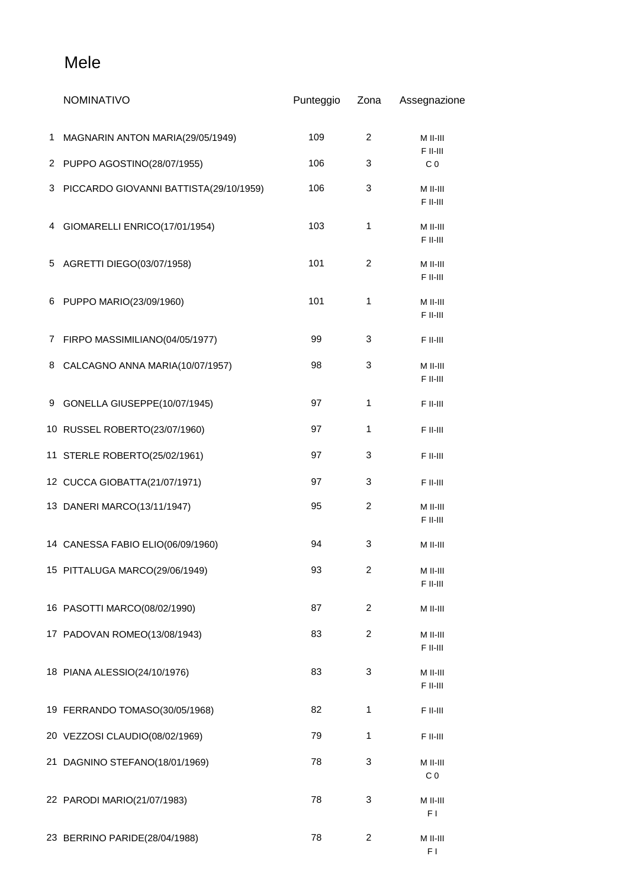### Mele

|   | <b>NOMINATIVO</b>                      | Punteggio | Zona           | Assegnazione               |
|---|----------------------------------------|-----------|----------------|----------------------------|
| 1 | MAGNARIN ANTON MARIA(29/05/1949)       | 109       | $\overline{c}$ | M II-III                   |
| 2 | PUPPO AGOSTINO(28/07/1955)             | 106       | 3              | F II-III<br>C <sub>0</sub> |
| 3 | PICCARDO GIOVANNI BATTISTA(29/10/1959) | 106       | 3              | M II-III<br>F II-III       |
| 4 | GIOMARELLI ENRICO(17/01/1954)          | 103       | 1              | M II-III<br>F II-III       |
| 5 | AGRETTI DIEGO(03/07/1958)              | 101       | 2              | M II-III<br>F II-III       |
| 6 | PUPPO MARIO(23/09/1960)                | 101       | 1              | M II-III<br>F II-III       |
| 7 | FIRPO MASSIMILIANO(04/05/1977)         | 99        | 3              | F II-III                   |
| 8 | CALCAGNO ANNA MARIA(10/07/1957)        | 98        | 3              | M II-III<br>F II-III       |
| 9 | GONELLA GIUSEPPE(10/07/1945)           | 97        | 1              | F II-III                   |
|   | 10 RUSSEL ROBERTO(23/07/1960)          | 97        | 1              | F II-III                   |
|   | 11 STERLE ROBERTO(25/02/1961)          | 97        | 3              | F II-III                   |
|   | 12 CUCCA GIOBATTA(21/07/1971)          | 97        | 3              | F II-III                   |
|   | 13 DANERI MARCO(13/11/1947)            | 95        | $\overline{c}$ | M II-III<br>F II-III       |
|   | 14 CANESSA FABIO ELIO(06/09/1960)      | 94        | 3              | M II-III                   |
|   | 15 PITTALUGA MARCO(29/06/1949)         | 93        | 2              | $M$ II-III<br>F II-III     |
|   | 16 PASOTTI MARCO(08/02/1990)           | 87        | 2              | M II-III                   |
|   | 17 PADOVAN ROMEO(13/08/1943)           | 83        | $\overline{c}$ | M II-III<br>F II-III       |
|   | 18 PIANA ALESSIO(24/10/1976)           | 83        | 3              | M II-III<br>F II-III       |
|   | 19 FERRANDO TOMASO(30/05/1968)         | 82        | 1              | F II-III                   |
|   | 20 VEZZOSI CLAUDIO(08/02/1969)         | 79        | $\mathbf{1}$   | F II-III                   |
|   | 21 DAGNINO STEFANO(18/01/1969)         | 78        | 3              | M II-III<br>C <sub>0</sub> |
|   | 22 PARODI MARIO(21/07/1983)            | 78        | 3              | M II-III<br>F1             |
|   | 23 BERRINO PARIDE(28/04/1988)          | 78        | $\overline{c}$ | M II-III<br>F I            |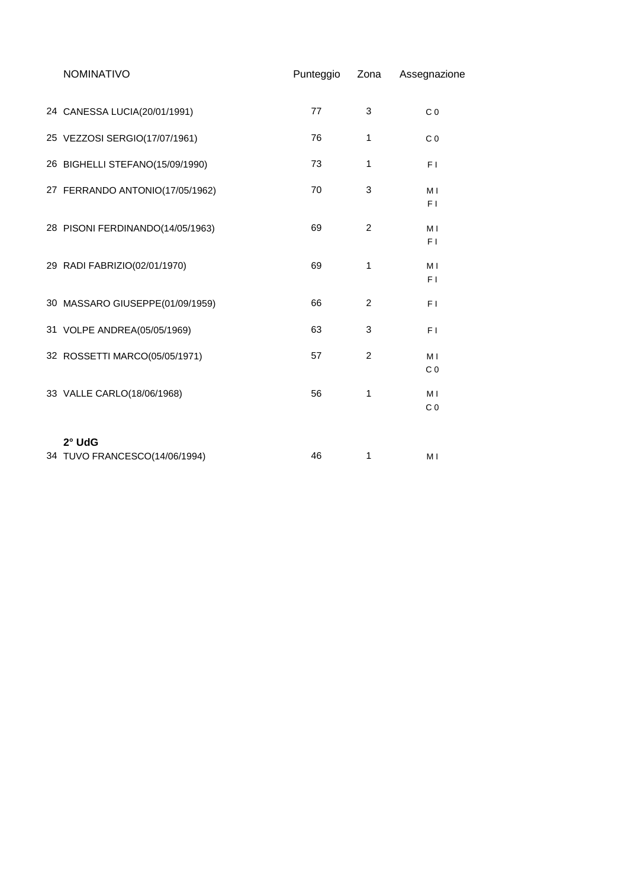| <b>NOMINATIVO</b>                | Punteggio | Zona           | Assegnazione          |
|----------------------------------|-----------|----------------|-----------------------|
|                                  |           |                |                       |
| 24 CANESSA LUCIA(20/01/1991)     | 77        | 3              | C <sub>0</sub>        |
| 25 VEZZOSI SERGIO(17/07/1961)    | 76        | 1              | C <sub>0</sub>        |
| 26 BIGHELLI STEFANO(15/09/1990)  | 73        | 1              | F I                   |
| 27 FERRANDO ANTONIO(17/05/1962)  | 70        | 3              | M I<br>F <sub>1</sub> |
|                                  |           |                |                       |
| 28 PISONI FERDINANDO(14/05/1963) | 69        | $\overline{2}$ | M <sub>1</sub><br>F1  |
| 29 RADI FABRIZIO(02/01/1970)     | 69        | 1              | M I                   |
|                                  |           |                | F I                   |
| 30 MASSARO GIUSEPPE(01/09/1959)  | 66        | $\overline{c}$ | F I                   |
| 31 VOLPE ANDREA(05/05/1969)      | 63        | 3              | F1                    |
| 32 ROSSETTI MARCO(05/05/1971)    | 57        | $\overline{c}$ | M <sub>1</sub>        |
|                                  |           |                | C <sub>0</sub>        |
| 33 VALLE CARLO(18/06/1968)       | 56        | 1              | M <sub>1</sub>        |
|                                  |           |                | C <sub>0</sub>        |
| 2° UdG                           |           |                |                       |
| 34 TUVO FRANCESCO(14/06/1994)    | 46        | 1              | M I                   |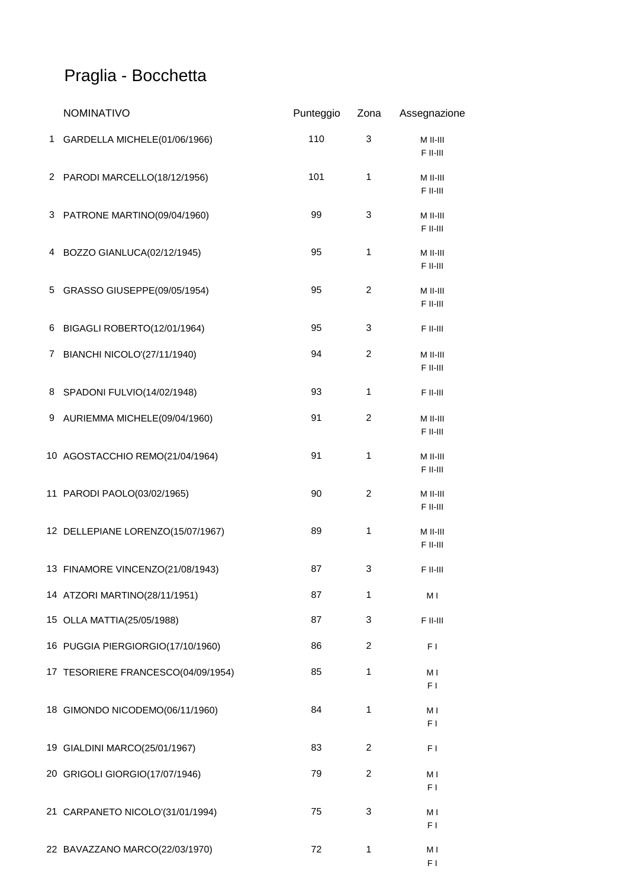## Praglia - Bocchetta

|   | <b>NOMINATIVO</b>                  | Punteggio | Zona           | Assegnazione           |
|---|------------------------------------|-----------|----------------|------------------------|
| 1 | GARDELLA MICHELE(01/06/1966)       | 110       | 3              | M II-III<br>F II-III   |
|   | 2 PARODI MARCELLO(18/12/1956)      | 101       | 1              | $M$ II-III<br>F II-III |
|   | 3 PATRONE MARTINO(09/04/1960)      | 99        | 3              | $M$ II-III<br>F II-III |
|   | 4 BOZZO GIANLUCA(02/12/1945)       | 95        | $\mathbf{1}$   | $M$ II-III<br>F II-III |
|   | 5 GRASSO GIUSEPPE(09/05/1954)      | 95        | $\overline{c}$ | M II-III<br>F II-III   |
|   | 6 BIGAGLI ROBERTO(12/01/1964)      | 95        | 3              | F II-III               |
|   | 7 BIANCHI NICOLO'(27/11/1940)      | 94        | $\overline{2}$ | $M$ II-III<br>F II-III |
|   | 8 SPADONI FULVIO(14/02/1948)       | 93        | 1              | F II-III               |
|   | 9 AURIEMMA MICHELE(09/04/1960)     | 91        | $\overline{c}$ | M II-III<br>F II-III   |
|   | 10 AGOSTACCHIO REMO(21/04/1964)    | 91        | $\mathbf{1}$   | M II-III<br>F II-III   |
|   | 11 PARODI PAOLO(03/02/1965)        | 90        | $\overline{2}$ | M II-III<br>F II-III   |
|   | 12 DELLEPIANE LORENZO(15/07/1967)  | 89        | 1              | $M$ II-III<br>F II-III |
|   | 13 FINAMORE VINCENZO(21/08/1943)   | 87        | 3              | F II-III               |
|   | 14 ATZORI MARTINO(28/11/1951)      | 87        | 1              | M I                    |
|   | 15 OLLA MATTIA(25/05/1988)         | 87        | 3              | F II-III               |
|   | 16 PUGGIA PIERGIORGIO(17/10/1960)  | 86        | 2              | F <sub>1</sub>         |
|   | 17 TESORIERE FRANCESCO(04/09/1954) | 85        | 1              | M I<br>F <sub>1</sub>  |
|   | 18 GIMONDO NICODEMO(06/11/1960)    | 84        | 1              | M I<br>F1              |
|   | 19 GIALDINI MARCO(25/01/1967)      | 83        | 2              | F <sub>1</sub>         |
|   | 20 GRIGOLI GIORGIO(17/07/1946)     | 79        | 2              | M I<br>F <sub>1</sub>  |
|   | 21 CARPANETO NICOLO'(31/01/1994)   | 75        | 3              | M I<br>F1              |
|   | 22 BAVAZZANO MARCO(22/03/1970)     | 72        | 1              | M I<br>F I             |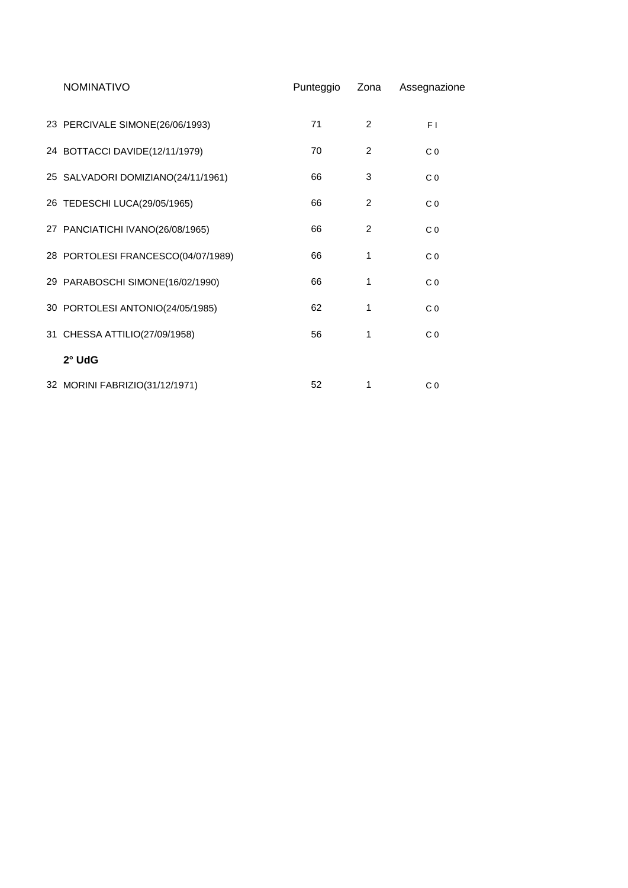| <b>NOMINATIVO</b>                  | Punteggio | Zona | Assegnazione   |
|------------------------------------|-----------|------|----------------|
| 23 PERCIVALE SIMONE(26/06/1993)    | 71        | 2    | F <sub>1</sub> |
| 24 BOTTACCI DAVIDE(12/11/1979)     | 70        | 2    | C <sub>0</sub> |
| 25 SALVADORI DOMIZIANO(24/11/1961) | 66        | 3    | C <sub>0</sub> |
| 26 TEDESCHI LUCA(29/05/1965)       | 66        | 2    | C <sub>0</sub> |
| 27 PANCIATICHI IVANO(26/08/1965)   | 66        | 2    | C <sub>0</sub> |
| 28 PORTOLESI FRANCESCO(04/07/1989) | 66        | 1    | C <sub>0</sub> |
| 29 PARABOSCHI SIMONE(16/02/1990)   | 66        | 1    | C <sub>0</sub> |
| 30 PORTOLESI ANTONIO(24/05/1985)   | 62        | 1    | C <sub>0</sub> |
| 31 CHESSA ATTILIO(27/09/1958)      | 56        | 1    | C <sub>0</sub> |
| 2° UdG                             |           |      |                |
| 32 MORINI FABRIZIO(31/12/1971)     | 52        | 1    | C <sub>0</sub> |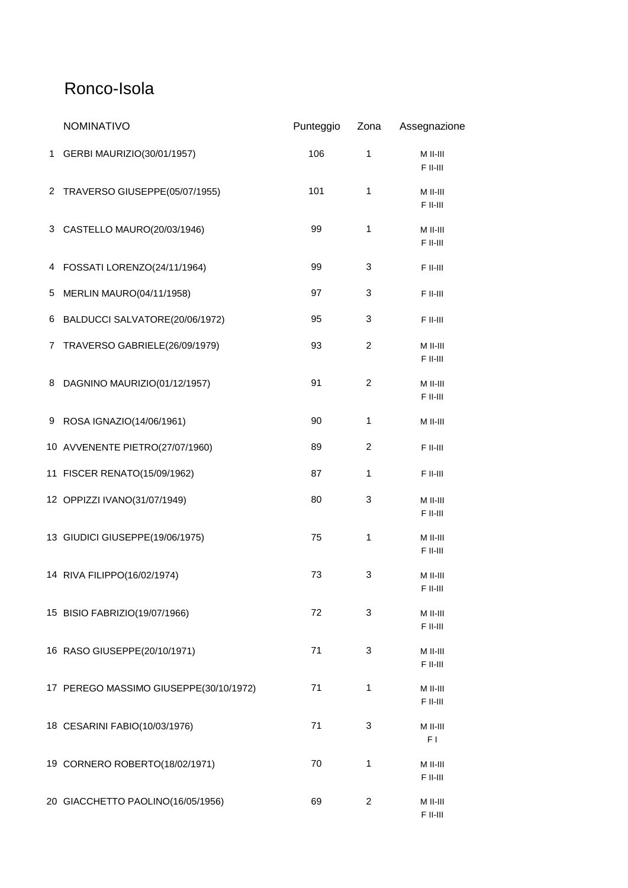### Ronco-Isola

|   | <b>NOMINATIVO</b>                      | Punteggio | Zona           | Assegnazione             |
|---|----------------------------------------|-----------|----------------|--------------------------|
| 1 | GERBI MAURIZIO(30/01/1957)             | 106       | 1              | $M$ II-III<br>F II-III   |
|   | 2 TRAVERSO GIUSEPPE(05/07/1955)        | 101       | 1              | M II-III<br>F II-III     |
|   | 3 CASTELLO MAURO(20/03/1946)           | 99        | 1              | M II-III<br>F II-III     |
|   | 4 FOSSATI LORENZO(24/11/1964)          | 99        | 3              | F II-III                 |
| 5 | MERLIN MAURO(04/11/1958)               | 97        | 3              | F II-III                 |
|   | 6 BALDUCCI SALVATORE(20/06/1972)       | 95        | 3              | F II-III                 |
| 7 | TRAVERSO GABRIELE(26/09/1979)          | 93        | 2              | M II-III<br>F II-III     |
| 8 | DAGNINO MAURIZIO(01/12/1957)           | 91        | $\overline{c}$ | M II-III<br>F II-III     |
|   | 9 ROSA IGNAZIO(14/06/1961)             | 90        | 1              | $M$ II-III               |
|   | 10 AVVENENTE PIETRO(27/07/1960)        | 89        | $\overline{c}$ | F II-III                 |
|   | 11 FISCER RENATO(15/09/1962)           | 87        | $\mathbf{1}$   | F II-III                 |
|   | 12 OPPIZZI IVANO(31/07/1949)           | 80        | 3              | M II-III<br>F II-III     |
|   | 13 GIUDICI GIUSEPPE(19/06/1975)        | 75        | 1              | $M$ II-III<br>$F$ II-III |
|   | 14 RIVA FILIPPO(16/02/1974)            | 73        | 3              | $M$ II-III<br>F II-III   |
|   | 15 BISIO FABRIZIO(19/07/1966)          | 72        | 3              | M II-III<br>F II-III     |
|   | 16 RASO GIUSEPPE(20/10/1971)           | 71        | 3              | M II-III<br>F II-III     |
|   | 17 PEREGO MASSIMO GIUSEPPE(30/10/1972) | 71        | 1              | M II-III<br>$F$ II-III   |
|   | 18 CESARINI FABIO(10/03/1976)          | 71        | 3              | M II-III<br>F I          |
|   | 19 CORNERO ROBERTO(18/02/1971)         | 70        | 1              | M II-III<br>F II-III     |
|   | 20 GIACCHETTO PAOLINO(16/05/1956)      | 69        | $\overline{2}$ | $M$ II-III<br>F II-III   |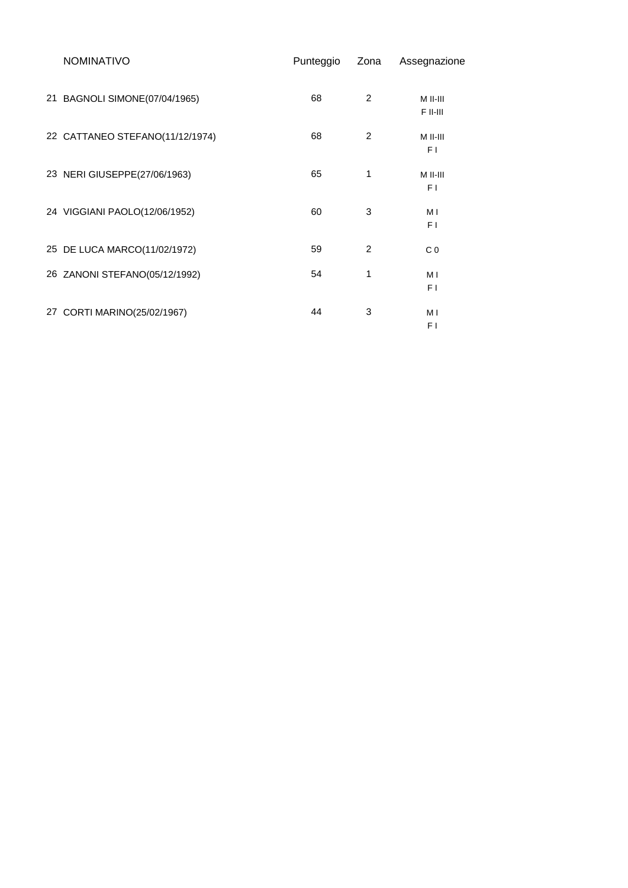| <b>NOMINATIVO</b>               | Punteggio | Zona           | Assegnazione         |
|---------------------------------|-----------|----------------|----------------------|
| 21 BAGNOLI SIMONE(07/04/1965)   | 68        | $\overline{c}$ | M II-III<br>F II-III |
| 22 CATTANEO STEFANO(11/12/1974) | 68        | 2              | M II-III<br>F1       |
| 23 NERI GIUSEPPE(27/06/1963)    | 65        | 1              | $M$ II-III<br>F1     |
| 24 VIGGIANI PAOLO(12/06/1952)   | 60        | 3              | МI<br>F1             |
| 25 DE LUCA MARCO(11/02/1972)    | 59        | $\overline{2}$ | C <sub>0</sub>       |
| 26 ZANONI STEFANO(05/12/1992)   | 54        | 1              | M I<br>F1            |
| 27 CORTI MARINO(25/02/1967)     | 44        | 3              | МI<br>F1             |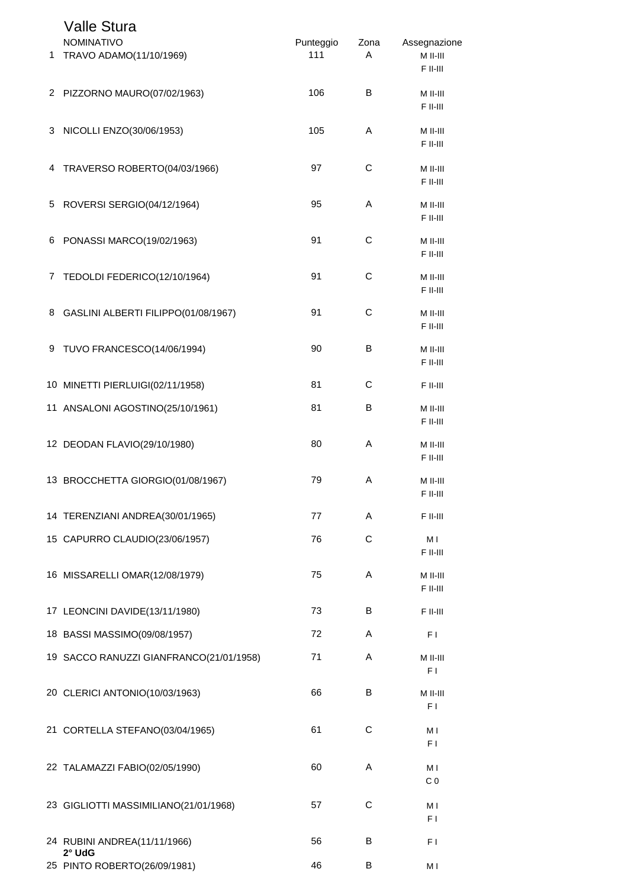|    | <b>Valle Stura</b><br><b>NOMINATIVO</b>  | Punteggio | Zona        | Assegnazione           |
|----|------------------------------------------|-----------|-------------|------------------------|
| 1. | TRAVO ADAMO(11/10/1969)                  | 111       | A           | M II-III<br>F II-III   |
|    | 2 PIZZORNO MAURO(07/02/1963)             | 106       | B           | M II-III<br>F II-III   |
| 3  | NICOLLI ENZO(30/06/1953)                 | 105       | A           | M II-III<br>F II-III   |
| 4  | TRAVERSO ROBERTO(04/03/1966)             | 97        | С           | M II-III<br>F II-III   |
| 5  | ROVERSI SERGIO(04/12/1964)               | 95        | Α           | M II-III<br>F II-III   |
| 6  | PONASSI MARCO(19/02/1963)                | 91        | C           | M II-III<br>F II-III   |
|    | 7 TEDOLDI FEDERICO(12/10/1964)           | 91        | C           | M II-III<br>F II-III   |
|    | 8 GASLINI ALBERTI FILIPPO(01/08/1967)    | 91        | $\mathsf C$ | M II-III<br>F II-III   |
| 9  | TUVO FRANCESCO(14/06/1994)               | 90        | B           | M II-III<br>F II-III   |
|    | 10 MINETTI PIERLUIGI(02/11/1958)         | 81        | C           | F II-III               |
|    | 11 ANSALONI AGOSTINO(25/10/1961)         | 81        | В           | M II-III<br>F II-III   |
|    | 12 DEODAN FLAVIO(29/10/1980)             | 80        | Α           | M II-III<br>F II-III   |
|    | 13 BROCCHETTA GIORGIO(01/08/1967)        | 79        | A           | M II-III<br>$F$ II-III |
|    | 14 TERENZIANI ANDREA(30/01/1965)         | 77        | Α           | F II-III               |
|    | 15 CAPURRO CLAUDIO(23/06/1957)           | 76        | С           | M I<br>F II-III        |
|    | 16 MISSARELLI OMAR(12/08/1979)           | 75        | A           | M II-III<br>F II-III   |
|    | 17 LEONCINI DAVIDE(13/11/1980)           | 73        | В           | F II-III               |
|    | 18 BASSI MASSIMO(09/08/1957)             | 72        | A           | F <sub>1</sub>         |
|    | 19 SACCO RANUZZI GIANFRANCO(21/01/1958)  | 71        | A           | M II-III<br>F I        |
|    | 20 CLERICI ANTONIO(10/03/1963)           | 66        | В           | M II-III<br>F I        |
|    | 21 CORTELLA STEFANO(03/04/1965)          | 61        | С           | M I<br>F I             |
|    | 22 TALAMAZZI FABIO(02/05/1990)           | 60        | A           | M I<br>C <sub>0</sub>  |
|    | 23 GIGLIOTTI MASSIMILIANO(21/01/1968)    | 57        | С           | M I<br>F I             |
|    | 24 RUBINI ANDREA(11/11/1966)<br>$2°$ UdG | 56        | В           | F I                    |
|    | 25 PINTO ROBERTO(26/09/1981)             | 46        | В           | M I                    |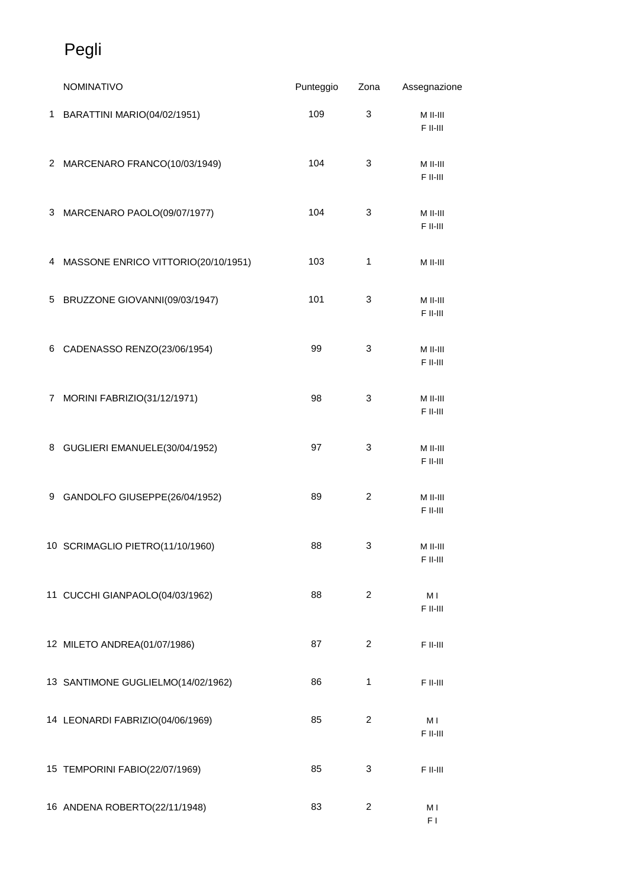## Pegli

|   | NOMINATIVO                            | Punteggio | Zona                    | Assegnazione               |
|---|---------------------------------------|-----------|-------------------------|----------------------------|
|   | 1 BARATTINI MARIO(04/02/1951)         | 109       | 3                       | M II-III<br>F II-III       |
|   | 2 MARCENARO FRANCO(10/03/1949)        | 104       | 3                       | M II-III<br>F II-III       |
|   | 3 MARCENARO PAOLO(09/07/1977)         | 104       | 3                       | M II-III<br>F II-III       |
|   | 4 MASSONE ENRICO VITTORIO(20/10/1951) | 103       | 1                       | M II-III                   |
|   | 5 BRUZZONE GIOVANNI(09/03/1947)       | 101       | 3                       | M II-III<br>F II-III       |
|   | 6 CADENASSO RENZO(23/06/1954)         | 99        | 3                       | M II-III<br>F II-III       |
| 7 | MORINI FABRIZIO(31/12/1971)           | 98        | 3                       | M II-III<br>F II-III       |
|   | 8 GUGLIERI EMANUELE(30/04/1952)       | 97        | 3                       | M II-III<br>F II-III       |
|   | 9 GANDOLFO GIUSEPPE(26/04/1952)       | 89        | $\overline{c}$          | M II-III<br>F II-III       |
|   | 10 SCRIMAGLIO PIETRO(11/10/1960)      | 88        | 3                       | M II-III<br>F II-III       |
|   | 11 CUCCHI GIANPAOLO(04/03/1962)       | 88        | $\overline{2}$          | M <sub>l</sub><br>F II-III |
|   | 12 MILETO ANDREA(01/07/1986)          | 87        | $\overline{2}$          | $\mathsf F$ II-III         |
|   | 13 SANTIMONE GUGLIELMO(14/02/1962)    | 86        | 1                       | F II-III                   |
|   | 14 LEONARDI FABRIZIO(04/06/1969)      | 85        | $\overline{\mathbf{c}}$ | МI<br>F II-III             |
|   | 15 TEMPORINI FABIO(22/07/1969)        | 85        | 3                       | F II-III                   |
|   | 16 ANDENA ROBERTO(22/11/1948)         | 83        | 2                       | M I<br>F1                  |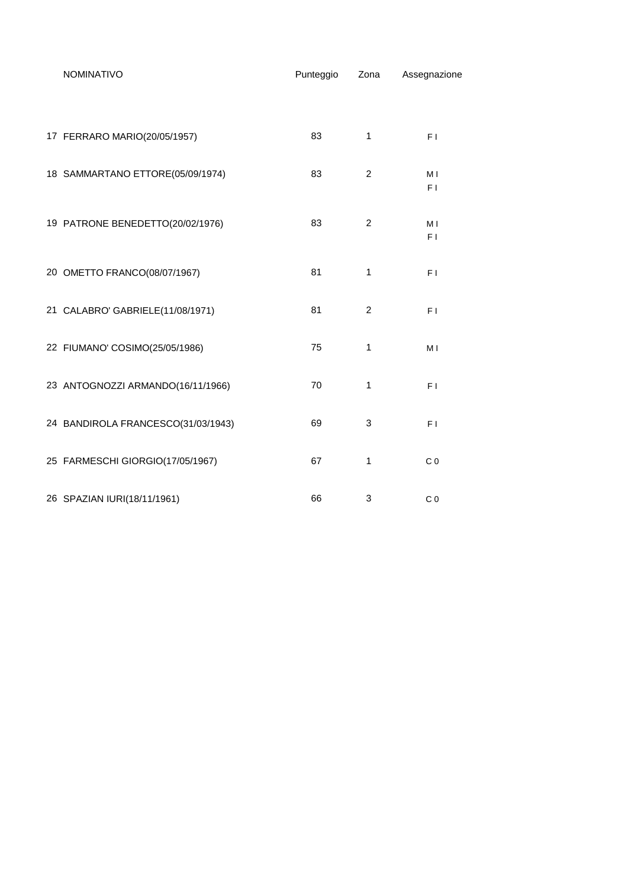| <b>NOMINATIVO</b>                  | Punteggio | Zona           | Assegnazione          |
|------------------------------------|-----------|----------------|-----------------------|
|                                    |           |                |                       |
| 17 FERRARO MARIO(20/05/1957)       | 83        | $\mathbf{1}$   | F <sub>1</sub>        |
| 18 SAMMARTANO ETTORE(05/09/1974)   | 83        | $\overline{c}$ | M I<br>F <sub>1</sub> |
| 19 PATRONE BENEDETTO(20/02/1976)   | 83        | $\overline{2}$ | M I<br>F <sub>1</sub> |
| 20 OMETTO FRANCO(08/07/1967)       | 81        | $\mathbf{1}$   | F <sub>1</sub>        |
| 21 CALABRO' GABRIELE(11/08/1971)   | 81        | $\overline{2}$ | F <sub>1</sub>        |
| 22 FIUMANO' COSIMO(25/05/1986)     | 75        | 1              | M I                   |
| 23 ANTOGNOZZI ARMANDO(16/11/1966)  | 70        | 1              | F <sub>1</sub>        |
| 24 BANDIROLA FRANCESCO(31/03/1943) | 69        | 3              | F <sub>1</sub>        |
| 25 FARMESCHI GIORGIO(17/05/1967)   | 67        | 1              | C <sub>0</sub>        |
| 26 SPAZIAN IURI(18/11/1961)        | 66        | 3              | C <sub>0</sub>        |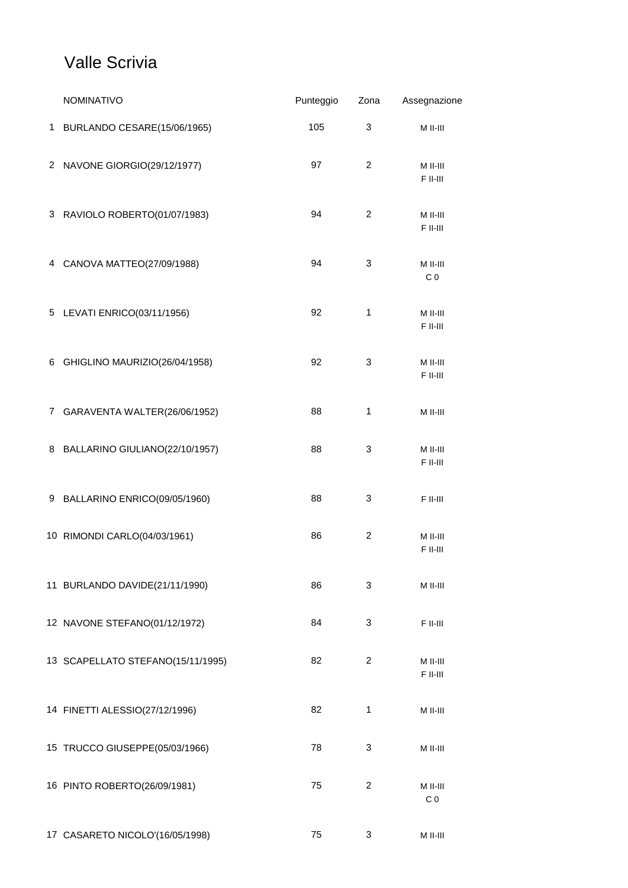### Valle Scrivia

|   | <b>NOMINATIVO</b>                 | Punteggio | Zona           | Assegnazione               |
|---|-----------------------------------|-----------|----------------|----------------------------|
| 1 | BURLANDO CESARE(15/06/1965)       | 105       | 3              | M II-III                   |
|   | 2 NAVONE GIORGIO(29/12/1977)      | 97        | $\overline{c}$ | M II-III<br>F II-III       |
|   | 3 RAVIOLO ROBERTO(01/07/1983)     | 94        | $\overline{c}$ | M II-III<br>F II-III       |
|   | 4 CANOVA MATTEO(27/09/1988)       | 94        | 3              | M II-III<br>C <sub>0</sub> |
|   | 5 LEVATI ENRICO(03/11/1956)       | 92        | 1              | M II-III<br>F II-III       |
|   | 6 GHIGLINO MAURIZIO(26/04/1958)   | 92        | 3              | M II-III<br>F II-III       |
|   | 7 GARAVENTA WALTER(26/06/1952)    | 88        | 1              | M II-III                   |
|   | 8 BALLARINO GIULIANO(22/10/1957)  | 88        | 3              | M II-III<br>F II-III       |
|   | 9 BALLARINO ENRICO(09/05/1960)    | 88        | 3              | F II-III                   |
|   | 10 RIMONDI CARLO(04/03/1961)      | 86        | $\overline{c}$ | M II-III<br>F II-III       |
|   | 11 BURLANDO DAVIDE(21/11/1990)    | 86        | 3              | M II-III                   |
|   | 12 NAVONE STEFANO(01/12/1972)     | 84        | 3              | F II-III                   |
|   | 13 SCAPELLATO STEFANO(15/11/1995) | 82        | 2              | M II-III<br>F II-III       |
|   | 14 FINETTI ALESSIO(27/12/1996)    | 82        | 1              | M II-III                   |
|   | 15 TRUCCO GIUSEPPE(05/03/1966)    | 78        | 3              | M II-III                   |
|   | 16 PINTO ROBERTO(26/09/1981)      | 75        | 2              | M II-III<br>C <sub>0</sub> |
|   | 17 CASARETO NICOLO'(16/05/1998)   | 75        | 3              | $M$ II-III                 |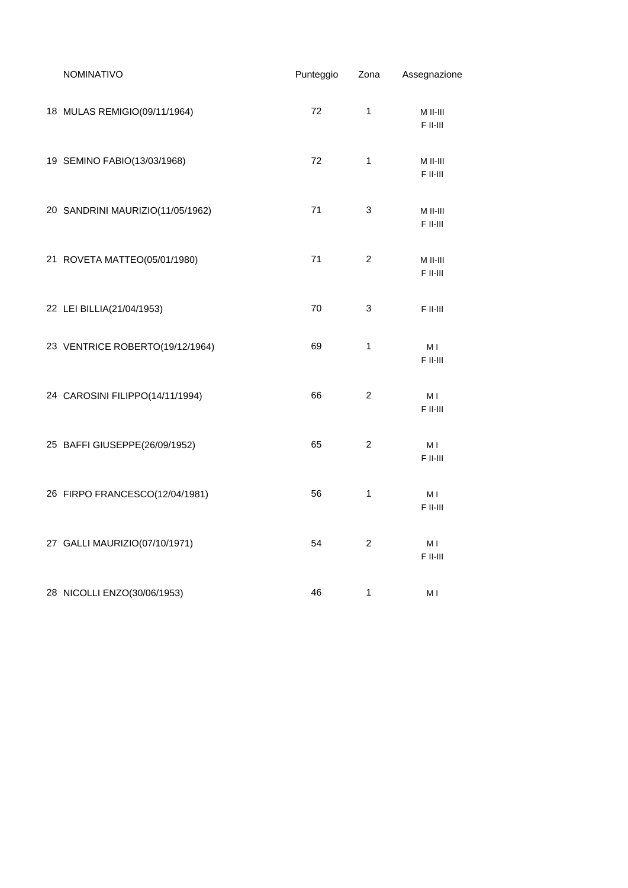| NOMINATIVO                       | Punteggio | Zona                      | Assegnazione               |
|----------------------------------|-----------|---------------------------|----------------------------|
| 18 MULAS REMIGIO(09/11/1964)     | 72        | 1                         | $M$ II-III<br>$F$ II-III   |
| 19 SEMINO FABIO(13/03/1968)      | 72        | 1                         | M II-III<br>$F$ II-III     |
| 20 SANDRINI MAURIZIO(11/05/1962) | 71        | $\ensuremath{\mathsf{3}}$ | M II-III<br>$F$ II-III     |
| 21 ROVETA MATTEO(05/01/1980)     | 71        | 2                         | M II-III<br>$F$ II-III     |
| 22 LEI BILLIA(21/04/1953)        | 70        | 3                         | F II-III                   |
| 23 VENTRICE ROBERTO(19/12/1964)  | 69        | 1                         | МI<br>F II-III             |
| 24 CAROSINI FILIPPO(14/11/1994)  | 66        | $\overline{c}$            | M I<br>F II-III            |
| 25 BAFFI GIUSEPPE(26/09/1952)    | 65        | 2                         | M I<br>F II-III            |
| 26 FIRPO FRANCESCO(12/04/1981)   | 56        | 1                         | M I<br>F II-III            |
| 27 GALLI MAURIZIO(07/10/1971)    | 54        | $\overline{2}$            | M <sub>l</sub><br>F II-III |
| 28 NICOLLI ENZO(30/06/1953)      | 46        | 1                         | МI                         |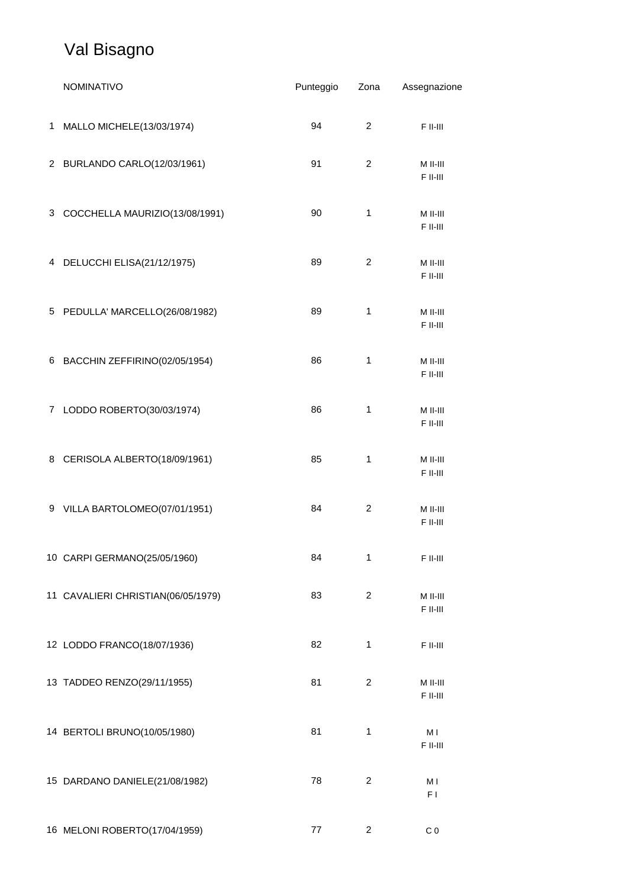### Val Bisagno

|   | <b>NOMINATIVO</b>                  | Punteggio | Zona                    | Assegnazione             |
|---|------------------------------------|-----------|-------------------------|--------------------------|
| 1 | MALLO MICHELE(13/03/1974)          | 94        | $\overline{c}$          | F II-III                 |
|   | 2 BURLANDO CARLO(12/03/1961)       | 91        | $\overline{c}$          | M II-III<br>$F$ II-III   |
|   | 3 COCCHELLA MAURIZIO(13/08/1991)   | 90        | 1                       | M II-III<br>$F$ II-III   |
|   | 4 DELUCCHI ELISA(21/12/1975)       | 89        | 2                       | M II-III<br>F II-III     |
|   | 5 PEDULLA' MARCELLO(26/08/1982)    | 89        | $\mathbf{1}$            | M II-III<br>F II-III     |
| 6 | BACCHIN ZEFFIRINO(02/05/1954)      | 86        | $\mathbf{1}$            | M II-III<br>F II-III     |
|   | 7 LODDO ROBERTO(30/03/1974)        | 86        | $\mathbf{1}$            | M II-III<br>F II-III     |
|   | 8 CERISOLA ALBERTO(18/09/1961)     | 85        | 1                       | M II-III<br>F II-III     |
|   | 9 VILLA BARTOLOMEO(07/01/1951)     | 84        | $\overline{c}$          | M II-III<br>F II-III     |
|   | 10 CARPI GERMANO(25/05/1960)       | 84        | 1                       | $\mathsf F$ II-III       |
|   | 11 CAVALIERI CHRISTIAN(06/05/1979) | 83        | $\overline{\mathbf{c}}$ | M II-III<br>$F$ II-III   |
|   | 12 LODDO FRANCO(18/07/1936)        | 82        | 1                       | $F$ II-III               |
|   | 13 TADDEO RENZO(29/11/1955)        | 81        | $\overline{c}$          | $M$ II-III<br>$F$ II-III |
|   | 14 BERTOLI BRUNO(10/05/1980)       | 81        | 1                       | M I<br>F II-III          |
|   | 15 DARDANO DANIELE(21/08/1982)     | 78        | $\overline{c}$          | M I<br>F I               |
|   | 16 MELONI ROBERTO(17/04/1959)      | 77        | 2                       | C <sub>0</sub>           |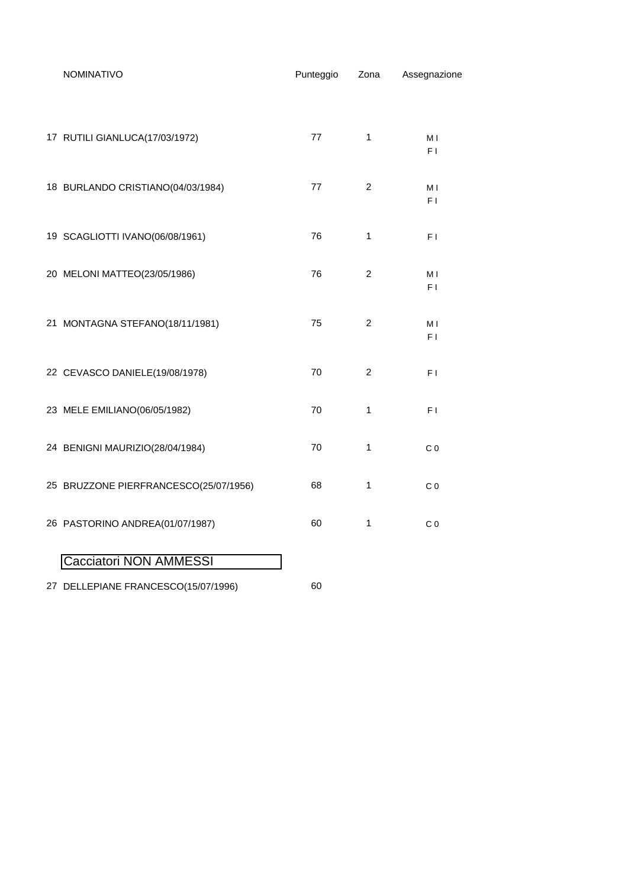| NOMINATIVO                            | Punteggio | Zona           | Assegnazione          |
|---------------------------------------|-----------|----------------|-----------------------|
| 17 RUTILI GIANLUCA(17/03/1972)        | 77        | 1              | M I<br>F1             |
| 18 BURLANDO CRISTIANO(04/03/1984)     | 77        | 2              | M I<br>F <sub>1</sub> |
| 19 SCAGLIOTTI IVANO(06/08/1961)       | 76        | 1              | F I                   |
| 20 MELONI MATTEO(23/05/1986)          | 76        | $\overline{c}$ | M I<br>F I            |
| 21 MONTAGNA STEFANO(18/11/1981)       | 75        | $\overline{c}$ | M I<br>F I            |
| 22 CEVASCO DANIELE(19/08/1978)        | 70        | $\overline{2}$ | F <sub>1</sub>        |
| 23 MELE EMILIANO(06/05/1982)          | 70        | 1              | F <sub>1</sub>        |
| 24 BENIGNI MAURIZIO(28/04/1984)       | 70        | 1              | C <sub>0</sub>        |
| 25 BRUZZONE PIERFRANCESCO(25/07/1956) | 68        | $\mathbf{1}$   | C <sub>0</sub>        |
| 26 PASTORINO ANDREA(01/07/1987)       | 60        | 1              | C <sub>0</sub>        |
| Cacciatori NON AMMESSI                |           |                |                       |
| 27 DELLEPIANE FRANCESCO(15/07/1996)   | 60        |                |                       |